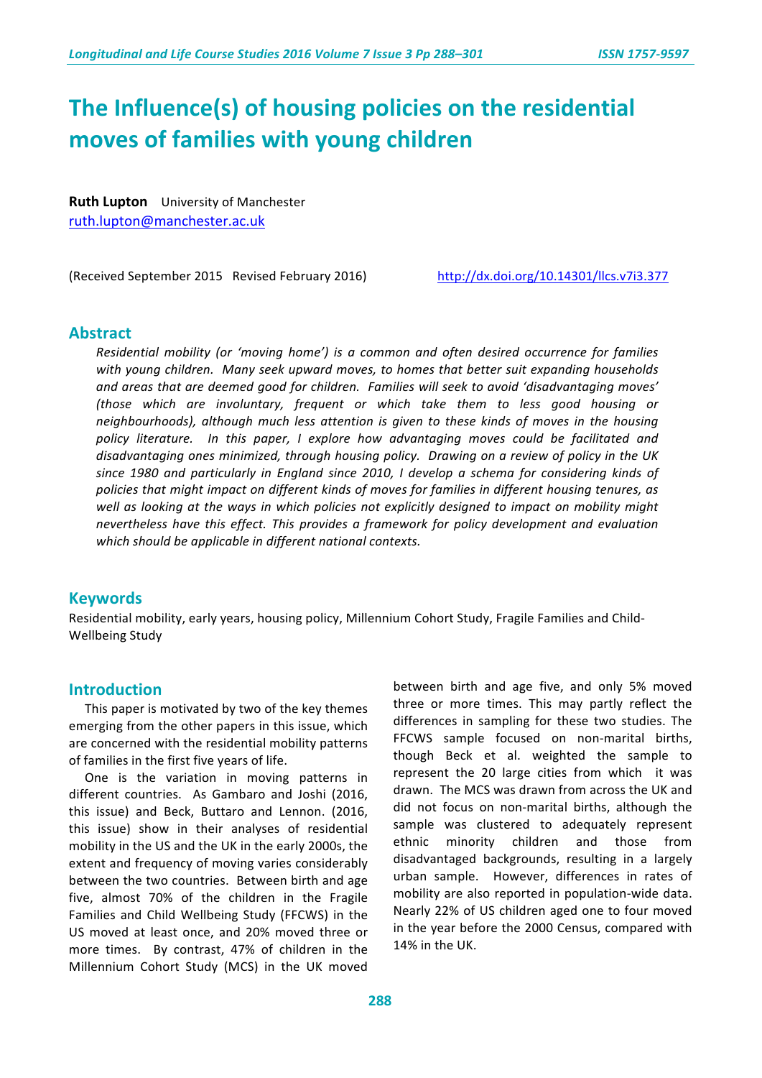# The Influence(s) of housing policies on the residential **moves of families with young children**

**Ruth Lupton** University of Manchester ruth.lupton@manchester.ac.uk

(Received September 2015 Revised February 2016) http://dx.doi.org/10.14301/llcs.v7i3.377

#### **Abstract**

*Residential mobility (or 'moving home') is a common and often desired occurrence for families* with young children. Many seek upward moves, to homes that better suit expanding households and areas that are deemed good for children. Families will seek to avoid 'disadvantaging moves' *(those which are involuntary, frequent or which take them to less good housing or neighbourhoods), although much less attention is given to these kinds of moves in the housing* policy literature. In this paper, I explore how advantaging moves could be facilitated and disadvantaging ones minimized, through housing policy. Drawing on a review of policy in the UK since 1980 and particularly in England since 2010, I develop a schema for considering kinds of policies that might impact on different kinds of moves for families in different housing tenures, as well as looking at the ways in which policies not explicitly designed to impact on mobility might nevertheless have this effect. This provides a framework for policy development and evaluation which should be applicable in different national contexts.

#### **Keywords**

Residential mobility, early years, housing policy, Millennium Cohort Study, Fragile Families and Child-Wellbeing Study

#### **Introduction**

This paper is motivated by two of the key themes emerging from the other papers in this issue, which are concerned with the residential mobility patterns of families in the first five years of life.

One is the variation in moving patterns in different countries. As Gambaro and Joshi (2016, this issue) and Beck, Buttaro and Lennon. (2016, this issue) show in their analyses of residential mobility in the US and the UK in the early 2000s, the extent and frequency of moving varies considerably between the two countries. Between birth and age five, almost 70% of the children in the Fragile Families and Child Wellbeing Study (FFCWS) in the US moved at least once, and 20% moved three or more times. By contrast, 47% of children in the Millennium Cohort Study (MCS) in the UK moved

between birth and age five, and only 5% moved three or more times. This may partly reflect the differences in sampling for these two studies. The FFCWS sample focused on non-marital births, though Beck et al. weighted the sample to represent the 20 large cities from which it was drawn. The MCS was drawn from across the UK and did not focus on non-marital births, although the sample was clustered to adequately represent ethnic minority children and those from disadvantaged backgrounds, resulting in a largely urban sample. However, differences in rates of mobility are also reported in population-wide data. Nearly 22% of US children aged one to four moved in the year before the 2000 Census, compared with 14% in the UK.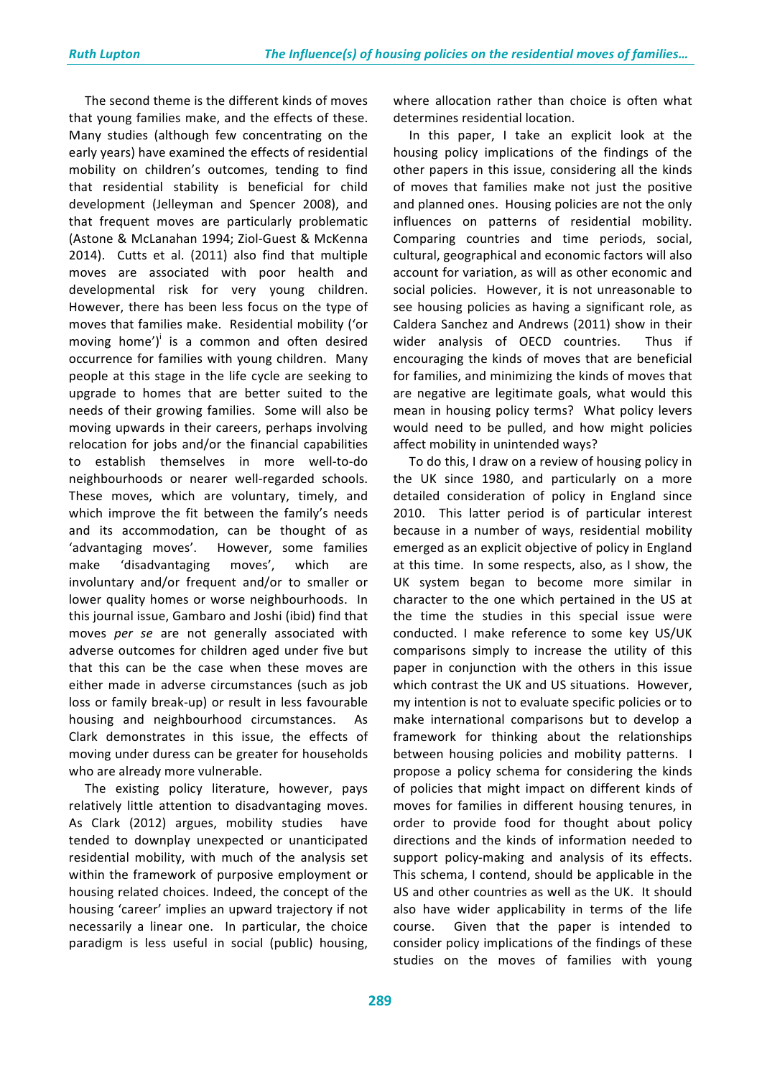The second theme is the different kinds of moves that young families make, and the effects of these. Many studies (although few concentrating on the early years) have examined the effects of residential mobility on children's outcomes, tending to find that residential stability is beneficial for child development (Jelleyman and Spencer 2008), and that frequent moves are particularly problematic (Astone & McLanahan 1994; Ziol-Guest & McKenna 2014). Cutts et al. (2011) also find that multiple moves are associated with poor health and developmental risk for very young children. However, there has been less focus on the type of moves that families make. Residential mobility ('or moving home') $\vert$  is a common and often desired occurrence for families with young children. Many people at this stage in the life cycle are seeking to upgrade to homes that are better suited to the needs of their growing families. Some will also be moving upwards in their careers, perhaps involving relocation for jobs and/or the financial capabilities to establish themselves in more well-to-do neighbourhoods or nearer well-regarded schools. These moves, which are voluntary, timely, and which improve the fit between the family's needs and its accommodation, can be thought of as 'advantaging moves'. However, some families make 'disadvantaging moves', which are involuntary and/or frequent and/or to smaller or lower quality homes or worse neighbourhoods. In this journal issue, Gambaro and Joshi (ibid) find that moves *per se* are not generally associated with adverse outcomes for children aged under five but that this can be the case when these moves are either made in adverse circumstances (such as job loss or family break-up) or result in less favourable housing and neighbourhood circumstances. As Clark demonstrates in this issue, the effects of moving under duress can be greater for households who are already more vulnerable.

The existing policy literature, however, pays relatively little attention to disadvantaging moves. As Clark (2012) argues, mobility studies have tended to downplay unexpected or unanticipated residential mobility, with much of the analysis set within the framework of purposive employment or housing related choices. Indeed, the concept of the housing 'career' implies an upward trajectory if not necessarily a linear one. In particular, the choice paradigm is less useful in social (public) housing,

where allocation rather than choice is often what determines residential location.

In this paper, I take an explicit look at the housing policy implications of the findings of the other papers in this issue, considering all the kinds of moves that families make not just the positive and planned ones. Housing policies are not the only influences on patterns of residential mobility. Comparing countries and time periods, social, cultural, geographical and economic factors will also account for variation, as will as other economic and social policies. However, it is not unreasonable to see housing policies as having a significant role, as Caldera Sanchez and Andrews (2011) show in their wider analysis of OECD countries. Thus if encouraging the kinds of moves that are beneficial for families, and minimizing the kinds of moves that are negative are legitimate goals, what would this mean in housing policy terms? What policy levers would need to be pulled, and how might policies affect mobility in unintended ways?

To do this, I draw on a review of housing policy in the UK since 1980, and particularly on a more detailed consideration of policy in England since 2010. This latter period is of particular interest because in a number of ways, residential mobility emerged as an explicit objective of policy in England at this time. In some respects, also, as I show, the UK system began to become more similar in character to the one which pertained in the US at the time the studies in this special issue were conducted. I make reference to some key US/UK comparisons simply to increase the utility of this paper in conjunction with the others in this issue which contrast the UK and US situations. However, my intention is not to evaluate specific policies or to make international comparisons but to develop a framework for thinking about the relationships between housing policies and mobility patterns. I propose a policy schema for considering the kinds of policies that might impact on different kinds of moves for families in different housing tenures, in order to provide food for thought about policy directions and the kinds of information needed to support policy-making and analysis of its effects. This schema, I contend, should be applicable in the US and other countries as well as the UK. It should also have wider applicability in terms of the life course. Given that the paper is intended to consider policy implications of the findings of these studies on the moves of families with young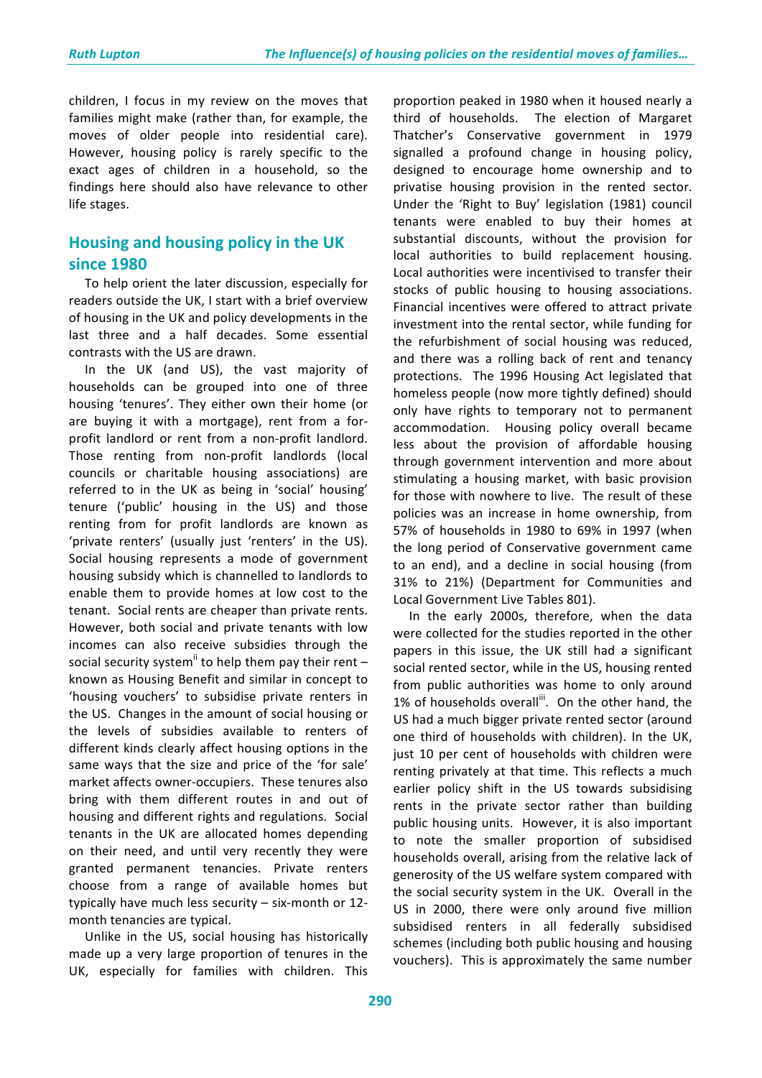children, I focus in my review on the moves that families might make (rather than, for example, the moves of older people into residential care). However, housing policy is rarely specific to the exact ages of children in a household, so the findings here should also have relevance to other life stages.

# **Housing and housing policy in the UK since 1980**

To help orient the later discussion, especially for readers outside the UK, I start with a brief overview of housing in the UK and policy developments in the last three and a half decades. Some essential contrasts with the US are drawn.

In the UK (and US), the vast majority of households can be grouped into one of three housing 'tenures'. They either own their home (or are buying it with a mortgage), rent from a forprofit landlord or rent from a non-profit landlord. Those renting from non-profit landlords (local councils or charitable housing associations) are referred to in the UK as being in 'social' housing' tenure ('public' housing in the US) and those renting from for profit landlords are known as 'private renters' (usually just 'renters' in the US). Social housing represents a mode of government housing subsidy which is channelled to landlords to enable them to provide homes at low cost to the tenant. Social rents are cheaper than private rents. However, both social and private tenants with low incomes can also receive subsidies through the social security system<sup>ii</sup> to help them pay their rent – known as Housing Benefit and similar in concept to 'housing vouchers' to subsidise private renters in the US. Changes in the amount of social housing or the levels of subsidies available to renters of different kinds clearly affect housing options in the same ways that the size and price of the 'for sale' market affects owner-occupiers. These tenures also bring with them different routes in and out of housing and different rights and regulations. Social tenants in the UK are allocated homes depending on their need, and until very recently they were granted permanent tenancies. Private renters choose from a range of available homes but typically have much less security  $-$  six-month or 12month tenancies are typical.

Unlike in the US, social housing has historically made up a very large proportion of tenures in the UK, especially for families with children. This

proportion peaked in 1980 when it housed nearly a third of households. The election of Margaret Thatcher's Conservative government in 1979 signalled a profound change in housing policy, designed to encourage home ownership and to privatise housing provision in the rented sector. Under the 'Right to Buy' legislation (1981) council tenants were enabled to buy their homes at substantial discounts, without the provision for local authorities to build replacement housing. Local authorities were incentivised to transfer their stocks of public housing to housing associations. Financial incentives were offered to attract private investment into the rental sector, while funding for the refurbishment of social housing was reduced, and there was a rolling back of rent and tenancy protections. The 1996 Housing Act legislated that homeless people (now more tightly defined) should only have rights to temporary not to permanent accommodation. Housing policy overall became less about the provision of affordable housing through government intervention and more about stimulating a housing market, with basic provision for those with nowhere to live. The result of these policies was an increase in home ownership, from 57% of households in 1980 to 69% in 1997 (when the long period of Conservative government came to an end), and a decline in social housing (from 31% to 21%) (Department for Communities and Local Government Live Tables 801).

In the early 2000s, therefore, when the data were collected for the studies reported in the other papers in this issue, the UK still had a significant social rented sector, while in the US, housing rented from public authorities was home to only around 1% of households overall<sup>ii</sup>. On the other hand, the US had a much bigger private rented sector (around one third of households with children). In the UK, just 10 per cent of households with children were renting privately at that time. This reflects a much earlier policy shift in the US towards subsidising rents in the private sector rather than building public housing units. However, it is also important to note the smaller proportion of subsidised households overall, arising from the relative lack of generosity of the US welfare system compared with the social security system in the UK. Overall in the US in 2000, there were only around five million subsidised renters in all federally subsidised schemes (including both public housing and housing vouchers). This is approximately the same number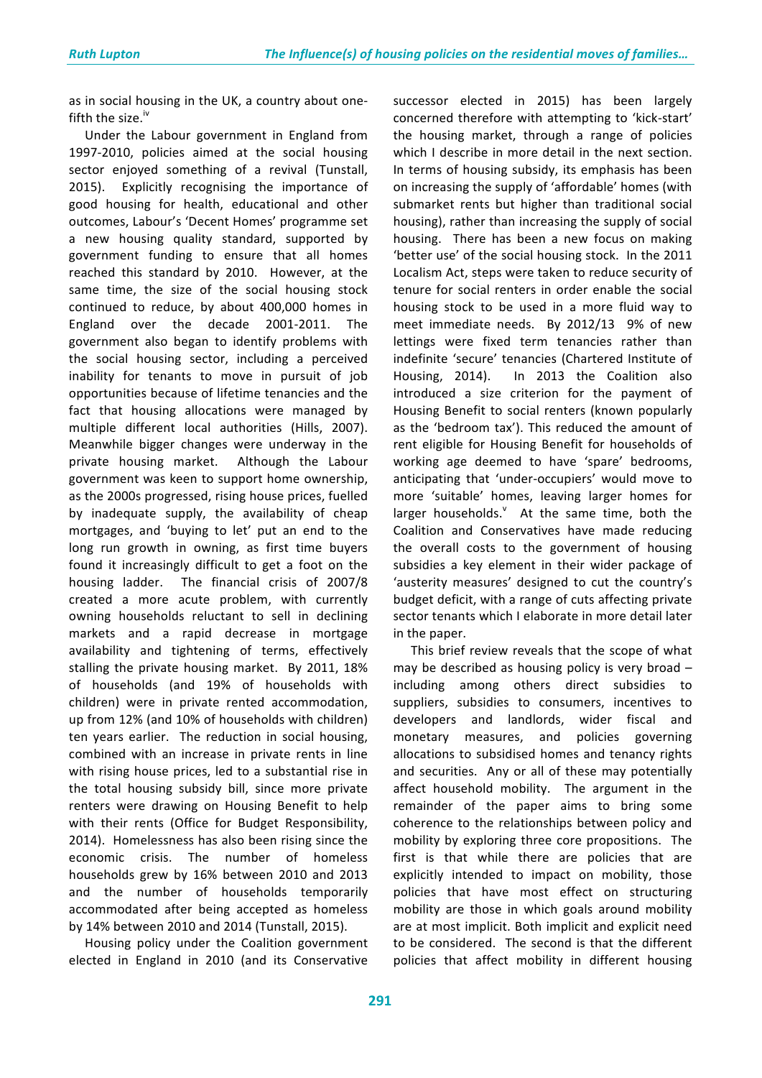as in social housing in the UK, a country about onefifth the size. $iv$ r.

Under the Labour government in England from 1997-2010, policies aimed at the social housing sector enjoyed something of a revival (Tunstall, 2015). Explicitly recognising the importance of good housing for health, educational and other outcomes, Labour's 'Decent Homes' programme set a new housing quality standard, supported by government funding to ensure that all homes reached this standard by 2010. However, at the same time, the size of the social housing stock continued to reduce, by about 400,000 homes in England over the decade 2001-2011. The government also began to identify problems with the social housing sector, including a perceived inability for tenants to move in pursuit of job opportunities because of lifetime tenancies and the fact that housing allocations were managed by multiple different local authorities (Hills, 2007). Meanwhile bigger changes were underway in the private housing market. Although the Labour government was keen to support home ownership, as the 2000s progressed, rising house prices, fuelled by inadequate supply, the availability of cheap mortgages, and 'buying to let' put an end to the long run growth in owning, as first time buyers found it increasingly difficult to get a foot on the housing ladder. The financial crisis of 2007/8 created a more acute problem, with currently owning households reluctant to sell in declining markets and a rapid decrease in mortgage availability and tightening of terms, effectively stalling the private housing market. By 2011, 18% of households (and 19% of households with children) were in private rented accommodation, up from 12% (and 10% of households with children) ten vears earlier. The reduction in social housing, combined with an increase in private rents in line with rising house prices, led to a substantial rise in the total housing subsidy bill, since more private renters were drawing on Housing Benefit to help with their rents (Office for Budget Responsibility, 2014). Homelessness has also been rising since the economic crisis. The number of homeless households grew by 16% between 2010 and 2013 and the number of households temporarily accommodated after being accepted as homeless by 14% between 2010 and 2014 (Tunstall, 2015).

Housing policy under the Coalition government elected in England in 2010 (and its Conservative

successor elected in 2015) has been largely concerned therefore with attempting to 'kick-start' the housing market, through a range of policies which I describe in more detail in the next section. In terms of housing subsidy, its emphasis has been on increasing the supply of 'affordable' homes (with submarket rents but higher than traditional social housing), rather than increasing the supply of social housing. There has been a new focus on making 'better use' of the social housing stock. In the 2011 Localism Act, steps were taken to reduce security of tenure for social renters in order enable the social housing stock to be used in a more fluid way to meet immediate needs. By 2012/13 9% of new lettings were fixed term tenancies rather than indefinite 'secure' tenancies (Chartered Institute of Housing, 2014). In 2013 the Coalition also introduced a size criterion for the payment of Housing Benefit to social renters (known popularly as the 'bedroom tax'). This reduced the amount of rent eligible for Housing Benefit for households of working age deemed to have 'spare' bedrooms, anticipating that 'under-occupiers' would move to more 'suitable' homes, leaving larger homes for larger households. $^v$  At the same time, both the Coalition and Conservatives have made reducing the overall costs to the government of housing subsidies a key element in their wider package of 'austerity measures' designed to cut the country's budget deficit, with a range of cuts affecting private sector tenants which I elaborate in more detail later in the paper.

This brief review reveals that the scope of what may be described as housing policy is very broad  $$ including among others direct subsidies to suppliers, subsidies to consumers, incentives to developers and landlords, wider fiscal and monetary measures, and policies governing allocations to subsidised homes and tenancy rights and securities. Any or all of these may potentially affect household mobility. The argument in the remainder of the paper aims to bring some coherence to the relationships between policy and mobility by exploring three core propositions. The first is that while there are policies that are explicitly intended to impact on mobility, those policies that have most effect on structuring mobility are those in which goals around mobility are at most implicit. Both implicit and explicit need to be considered. The second is that the different policies that affect mobility in different housing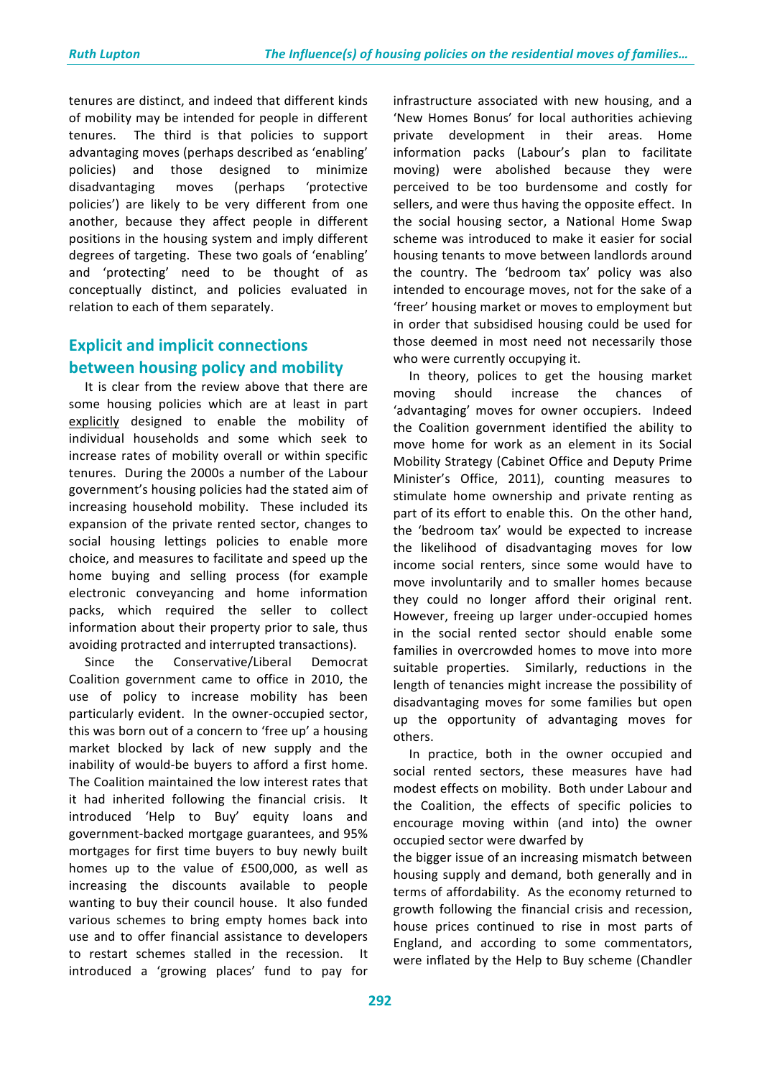tenures are distinct, and indeed that different kinds of mobility may be intended for people in different tenures. The third is that policies to support advantaging moves (perhaps described as 'enabling' policies) and those designed to minimize disadvantaging moves (perhaps 'protective policies') are likely to be very different from one another, because they affect people in different positions in the housing system and imply different degrees of targeting. These two goals of 'enabling' and 'protecting' need to be thought of as conceptually distinct, and policies evaluated in relation to each of them separately.

# **Explicit and implicit connections between housing policy and mobility**

It is clear from the review above that there are some housing policies which are at least in part explicitly designed to enable the mobility of individual households and some which seek to increase rates of mobility overall or within specific tenures. During the 2000s a number of the Labour government's housing policies had the stated aim of increasing household mobility. These included its expansion of the private rented sector, changes to social housing lettings policies to enable more choice, and measures to facilitate and speed up the home buying and selling process (for example electronic conveyancing and home information packs, which required the seller to collect information about their property prior to sale, thus avoiding protracted and interrupted transactions).

Since the Conservative/Liberal Democrat Coalition government came to office in 2010, the use of policy to increase mobility has been particularly evident. In the owner-occupied sector, this was born out of a concern to 'free up' a housing market blocked by lack of new supply and the inability of would-be buyers to afford a first home. The Coalition maintained the low interest rates that it had inherited following the financial crisis. It introduced 'Help to Buy' equity loans and government-backed mortgage guarantees, and 95% mortgages for first time buyers to buy newly built homes up to the value of  $£500,000$ , as well as increasing the discounts available to people wanting to buy their council house. It also funded various schemes to bring empty homes back into use and to offer financial assistance to developers to restart schemes stalled in the recession. It introduced a 'growing places' fund to pay for

infrastructure associated with new housing, and a 'New Homes Bonus' for local authorities achieving private development in their areas. Home information packs (Labour's plan to facilitate moving) were abolished because they were perceived to be too burdensome and costly for sellers, and were thus having the opposite effect. In the social housing sector, a National Home Swap scheme was introduced to make it easier for social housing tenants to move between landlords around the country. The 'bedroom tax' policy was also intended to encourage moves, not for the sake of a 'freer' housing market or moves to employment but in order that subsidised housing could be used for those deemed in most need not necessarily those who were currently occupying it.

In theory, polices to get the housing market moving should increase the chances of 'advantaging' moves for owner occupiers. Indeed the Coalition government identified the ability to move home for work as an element in its Social Mobility Strategy (Cabinet Office and Deputy Prime Minister's Office, 2011), counting measures to stimulate home ownership and private renting as part of its effort to enable this. On the other hand, the 'bedroom tax' would be expected to increase the likelihood of disadvantaging moves for low income social renters, since some would have to move involuntarily and to smaller homes because they could no longer afford their original rent. However, freeing up larger under-occupied homes in the social rented sector should enable some families in overcrowded homes to move into more suitable properties. Similarly, reductions in the length of tenancies might increase the possibility of disadvantaging moves for some families but open up the opportunity of advantaging moves for others. 

In practice, both in the owner occupied and social rented sectors, these measures have had modest effects on mobility. Both under Labour and the Coalition, the effects of specific policies to encourage moving within (and into) the owner occupied sector were dwarfed by 

the bigger issue of an increasing mismatch between housing supply and demand, both generally and in terms of affordability. As the economy returned to growth following the financial crisis and recession, house prices continued to rise in most parts of England, and according to some commentators, were inflated by the Help to Buy scheme (Chandler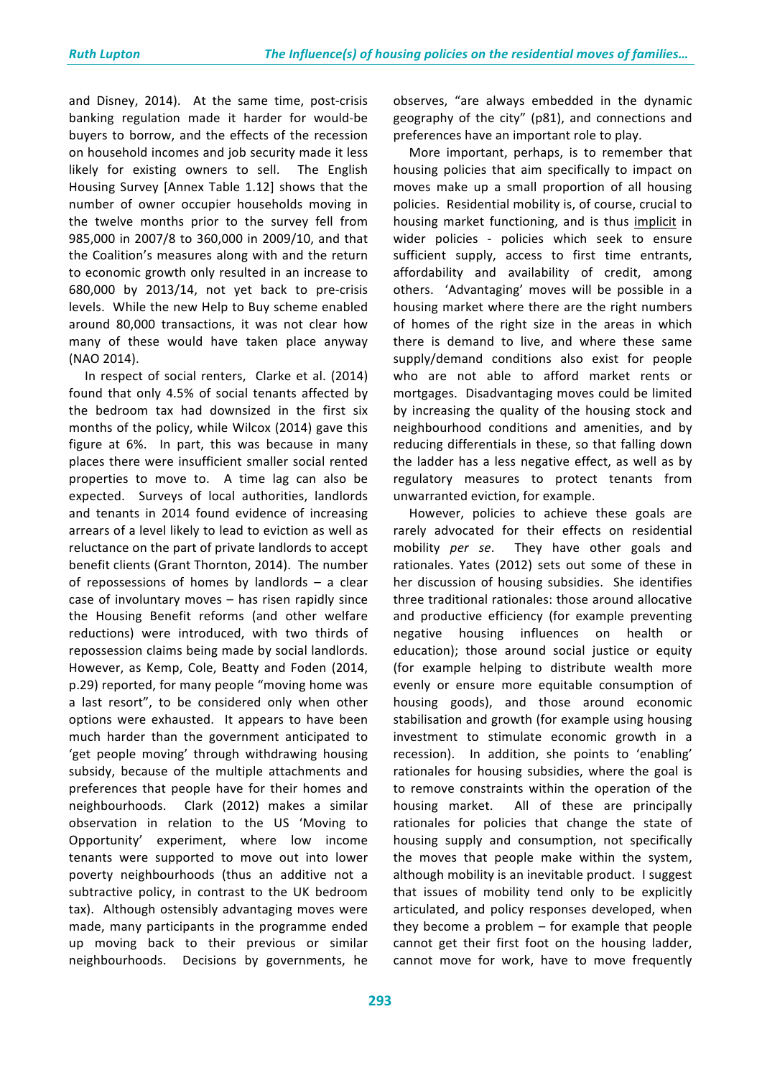and Disney, 2014). At the same time, post-crisis banking regulation made it harder for would-be buyers to borrow, and the effects of the recession on household incomes and job security made it less likely for existing owners to sell. The English Housing Survey [Annex Table 1.12] shows that the number of owner occupier households moving in the twelve months prior to the survey fell from 985,000 in 2007/8 to 360,000 in 2009/10, and that the Coalition's measures along with and the return to economic growth only resulted in an increase to 680,000 by 2013/14, not yet back to pre-crisis levels. While the new Help to Buy scheme enabled around 80,000 transactions, it was not clear how many of these would have taken place anyway (NAO 2014). 

In respect of social renters, Clarke et al. (2014) found that only 4.5% of social tenants affected by the bedroom tax had downsized in the first six months of the policy, while Wilcox (2014) gave this figure at  $6\%$ . In part, this was because in many places there were insufficient smaller social rented properties to move to. A time lag can also be expected. Surveys of local authorities, landlords and tenants in 2014 found evidence of increasing arrears of a level likely to lead to eviction as well as reluctance on the part of private landlords to accept benefit clients (Grant Thornton, 2014). The number of repossessions of homes by landlords  $-$  a clear case of involuntary moves  $-$  has risen rapidly since the Housing Benefit reforms (and other welfare reductions) were introduced, with two thirds of repossession claims being made by social landlords. However, as Kemp, Cole, Beatty and Foden (2014, p.29) reported, for many people "moving home was a last resort", to be considered only when other options were exhausted. It appears to have been much harder than the government anticipated to 'get people moving' through withdrawing housing subsidy, because of the multiple attachments and preferences that people have for their homes and neighbourhoods. Clark (2012) makes a similar observation in relation to the US 'Moving to Opportunity' experiment, where low income tenants were supported to move out into lower poverty neighbourhoods (thus an additive not a subtractive policy, in contrast to the UK bedroom tax). Although ostensibly advantaging moves were made, many participants in the programme ended up moving back to their previous or similar neighbourhoods. Decisions by governments, he

observes, "are always embedded in the dynamic geography of the city" (p81), and connections and preferences have an important role to play.

More important, perhaps, is to remember that housing policies that aim specifically to impact on moves make up a small proportion of all housing policies. Residential mobility is, of course, crucial to housing market functioning, and is thus implicit in wider policies - policies which seek to ensure sufficient supply, access to first time entrants, affordability and availability of credit, among others. 'Advantaging' moves will be possible in a housing market where there are the right numbers of homes of the right size in the areas in which there is demand to live, and where these same supply/demand conditions also exist for people who are not able to afford market rents or mortgages. Disadvantaging moves could be limited by increasing the quality of the housing stock and neighbourhood conditions and amenities, and by reducing differentials in these, so that falling down the ladder has a less negative effect, as well as by regulatory measures to protect tenants from unwarranted eviction, for example.

However, policies to achieve these goals are rarely advocated for their effects on residential mobility *per* se. They have other goals and rationales. Yates (2012) sets out some of these in her discussion of housing subsidies. She identifies three traditional rationales: those around allocative and productive efficiency (for example preventing negative housing influences on health or education); those around social justice or equity (for example helping to distribute wealth more evenly or ensure more equitable consumption of housing goods), and those around economic stabilisation and growth (for example using housing investment to stimulate economic growth in a recession). In addition, she points to 'enabling' rationales for housing subsidies, where the goal is to remove constraints within the operation of the housing market. All of these are principally rationales for policies that change the state of housing supply and consumption, not specifically the moves that people make within the system, although mobility is an inevitable product. I suggest that issues of mobility tend only to be explicitly articulated, and policy responses developed, when they become a problem  $-$  for example that people cannot get their first foot on the housing ladder, cannot move for work, have to move frequently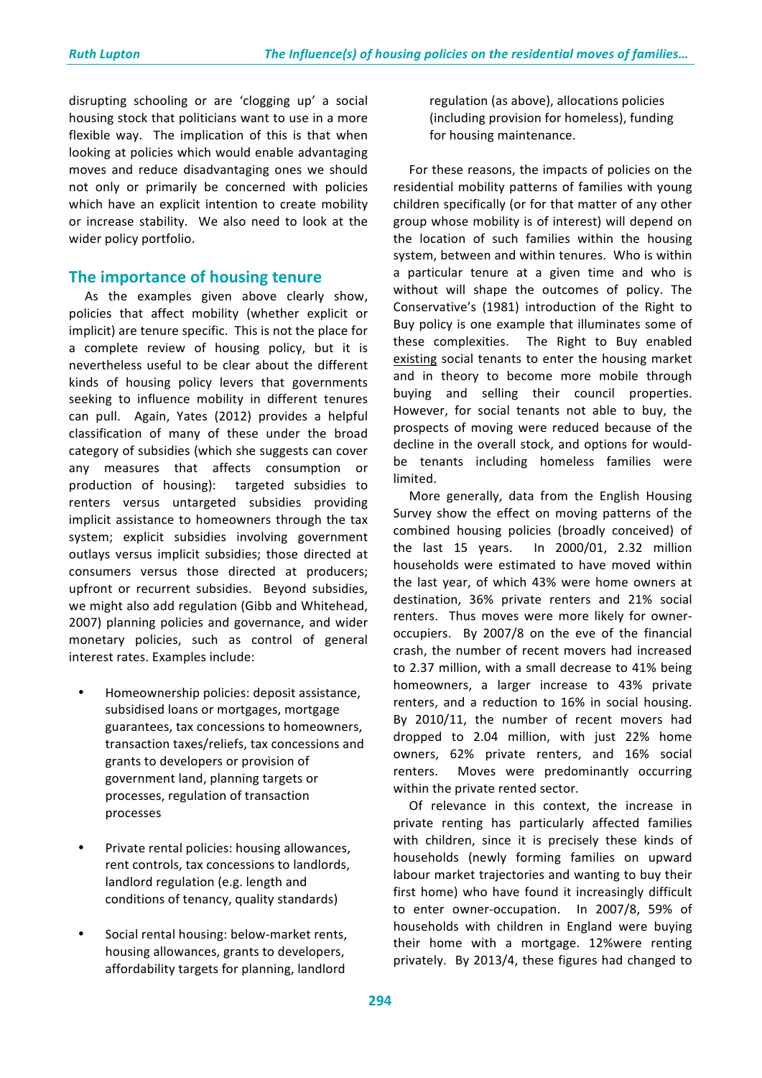disrupting schooling or are 'clogging up' a social housing stock that politicians want to use in a more flexible way. The implication of this is that when looking at policies which would enable advantaging moves and reduce disadvantaging ones we should not only or primarily be concerned with policies which have an explicit intention to create mobility or increase stability. We also need to look at the wider policy portfolio.

## **The importance of housing tenure**

As the examples given above clearly show, policies that affect mobility (whether explicit or implicit) are tenure specific. This is not the place for a complete review of housing policy, but it is nevertheless useful to be clear about the different kinds of housing policy levers that governments seeking to influence mobility in different tenures can pull. Again, Yates (2012) provides a helpful classification of many of these under the broad category of subsidies (which she suggests can cover any measures that affects consumption or production of housing): targeted subsidies to renters versus untargeted subsidies providing implicit assistance to homeowners through the tax system; explicit subsidies involving government outlays versus implicit subsidies; those directed at consumers versus those directed at producers; upfront or recurrent subsidies. Beyond subsidies, we might also add regulation (Gibb and Whitehead, 2007) planning policies and governance, and wider monetary policies, such as control of general interest rates. Examples include:

- Homeownership policies: deposit assistance, subsidised loans or mortgages, mortgage guarantees, tax concessions to homeowners, transaction taxes/reliefs, tax concessions and grants to developers or provision of government land, planning targets or processes, regulation of transaction processes
- Private rental policies: housing allowances, rent controls, tax concessions to landlords, landlord regulation (e.g. length and conditions of tenancy, quality standards)
- Social rental housing: below-market rents, housing allowances, grants to developers, affordability targets for planning, landlord

regulation (as above), allocations policies (including provision for homeless), funding for housing maintenance.

For these reasons, the impacts of policies on the residential mobility patterns of families with young children specifically (or for that matter of any other group whose mobility is of interest) will depend on the location of such families within the housing system, between and within tenures. Who is within a particular tenure at a given time and who is without will shape the outcomes of policy. The Conservative's (1981) introduction of the Right to Buy policy is one example that illuminates some of these complexities. The Right to Buy enabled existing social tenants to enter the housing market and in theory to become more mobile through buying and selling their council properties. However, for social tenants not able to buy, the prospects of moving were reduced because of the decline in the overall stock, and options for wouldbe tenants including homeless families were limited. 

More generally, data from the English Housing Survey show the effect on moving patterns of the combined housing policies (broadly conceived) of the last  $15$  years. In  $2000/01$ ,  $2.32$  million households were estimated to have moved within the last vear, of which 43% were home owners at destination, 36% private renters and 21% social renters. Thus moves were more likely for owneroccupiers. By 2007/8 on the eve of the financial crash, the number of recent movers had increased to 2.37 million, with a small decrease to 41% being homeowners, a larger increase to 43% private renters, and a reduction to 16% in social housing. By 2010/11, the number of recent movers had dropped to 2.04 million, with just 22% home owners, 62% private renters, and 16% social renters. Moves were predominantly occurring within the private rented sector.

Of relevance in this context, the increase in private renting has particularly affected families with children, since it is precisely these kinds of households (newly forming families on upward labour market trajectories and wanting to buy their first home) who have found it increasingly difficult to enter owner-occupation. In 2007/8, 59% of households with children in England were buying their home with a mortgage. 12%were renting privately. By 2013/4, these figures had changed to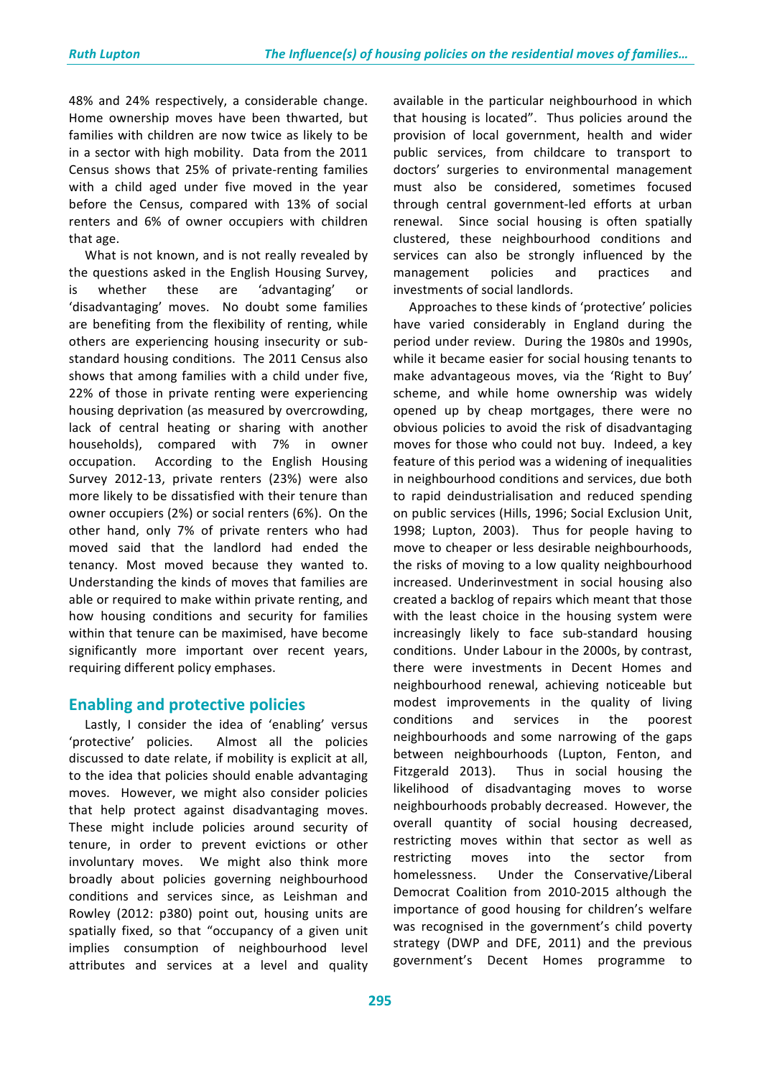48% and 24% respectively, a considerable change. Home ownership moves have been thwarted, but families with children are now twice as likely to be in a sector with high mobility. Data from the 2011 Census shows that 25% of private-renting families with a child aged under five moved in the vear before the Census, compared with 13% of social renters and 6% of owner occupiers with children that age.

What is not known, and is not really revealed by the questions asked in the English Housing Survey, is whether these are 'advantaging' or 'disadvantaging' moves. No doubt some families are benefiting from the flexibility of renting, while others are experiencing housing insecurity or substandard housing conditions. The 2011 Census also shows that among families with a child under five, 22% of those in private renting were experiencing housing deprivation (as measured by overcrowding, lack of central heating or sharing with another households), compared with 7% in owner occupation. According to the English Housing Survey 2012-13, private renters (23%) were also more likely to be dissatisfied with their tenure than owner occupiers (2%) or social renters (6%). On the other hand, only 7% of private renters who had moved said that the landlord had ended the tenancy. Most moved because they wanted to. Understanding the kinds of moves that families are able or required to make within private renting, and how housing conditions and security for families within that tenure can be maximised, have become significantly more important over recent years, requiring different policy emphases.

# **Enabling and protective policies**

Lastly, I consider the idea of 'enabling' versus 'protective' policies. Almost all the policies discussed to date relate, if mobility is explicit at all, to the idea that policies should enable advantaging moves. However, we might also consider policies that help protect against disadvantaging moves. These might include policies around security of tenure, in order to prevent evictions or other involuntary moves. We might also think more broadly about policies governing neighbourhood conditions and services since, as Leishman and Rowley (2012: p380) point out, housing units are spatially fixed, so that "occupancy of a given unit implies consumption of neighbourhood level attributes and services at a level and quality

available in the particular neighbourhood in which that housing is located". Thus policies around the provision of local government, health and wider public services, from childcare to transport to doctors' surgeries to environmental management must also be considered, sometimes focused through central government-led efforts at urban renewal. Since social housing is often spatially clustered, these neighbourhood conditions and services can also be strongly influenced by the management policies and practices and investments of social landlords.

Approaches to these kinds of 'protective' policies have varied considerably in England during the period under review. During the 1980s and 1990s, while it became easier for social housing tenants to make advantageous moves, via the 'Right to Buy' scheme, and while home ownership was widely opened up by cheap mortgages, there were no obvious policies to avoid the risk of disadvantaging moves for those who could not buy. Indeed, a key feature of this period was a widening of inequalities in neighbourhood conditions and services, due both to rapid deindustrialisation and reduced spending on public services (Hills, 1996; Social Exclusion Unit, 1998; Lupton, 2003). Thus for people having to move to cheaper or less desirable neighbourhoods, the risks of moving to a low quality neighbourhood increased. Underinvestment in social housing also created a backlog of repairs which meant that those with the least choice in the housing system were increasingly likely to face sub-standard housing conditions. Under Labour in the 2000s, by contrast, there were investments in Decent Homes and neighbourhood renewal, achieving noticeable but modest improvements in the quality of living conditions and services in the poorest neighbourhoods and some narrowing of the gaps between neighbourhoods (Lupton, Fenton, and Fitzgerald 2013). Thus in social housing the likelihood of disadvantaging moves to worse neighbourhoods probably decreased. However, the overall quantity of social housing decreased, restricting moves within that sector as well as restricting moves into the sector from homelessness. Under the Conservative/Liberal Democrat Coalition from 2010-2015 although the importance of good housing for children's welfare was recognised in the government's child poverty strategy (DWP and DFE, 2011) and the previous government's Decent Homes programme to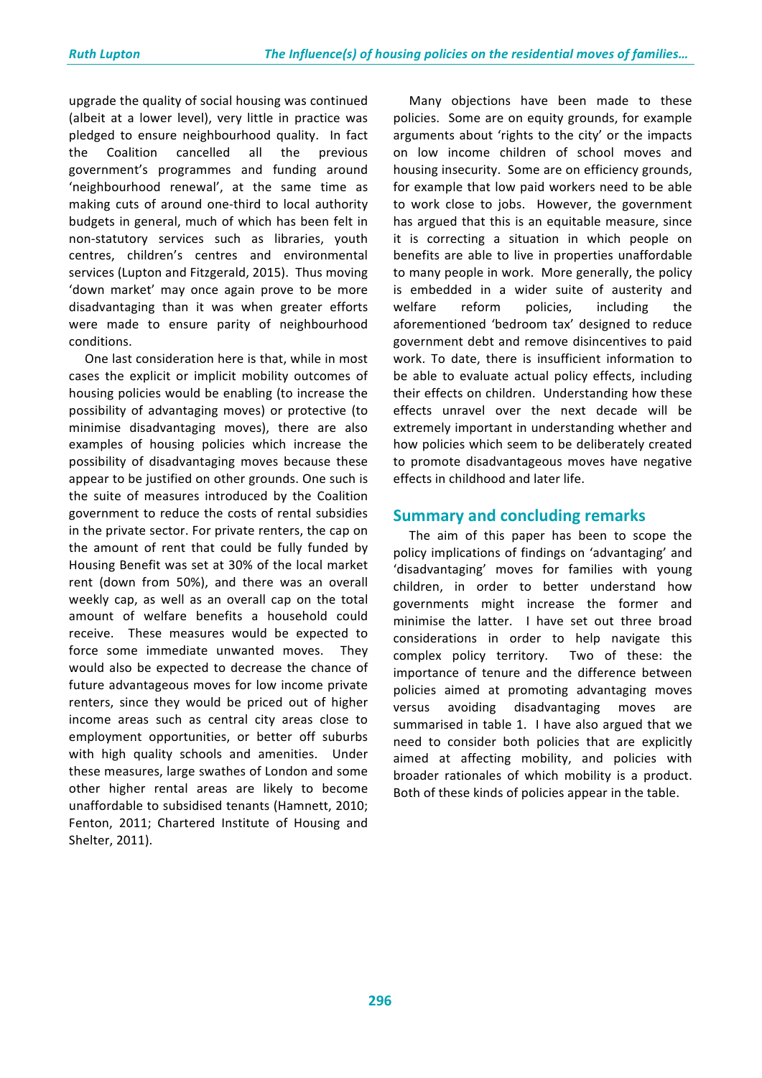upgrade the quality of social housing was continued (albeit at a lower level), very little in practice was pledged to ensure neighbourhood quality. In fact the Coalition cancelled all the previous government's programmes and funding around 'neighbourhood renewal', at the same time as making cuts of around one-third to local authority budgets in general, much of which has been felt in non-statutory services such as libraries, youth centres, children's centres and environmental services (Lupton and Fitzgerald, 2015). Thus moving 'down market' may once again prove to be more disadvantaging than it was when greater efforts were made to ensure parity of neighbourhood conditions.

One last consideration here is that, while in most cases the explicit or implicit mobility outcomes of housing policies would be enabling (to increase the possibility of advantaging moves) or protective (to minimise disadvantaging moves), there are also examples of housing policies which increase the possibility of disadvantaging moves because these appear to be justified on other grounds. One such is the suite of measures introduced by the Coalition government to reduce the costs of rental subsidies in the private sector. For private renters, the cap on the amount of rent that could be fully funded by Housing Benefit was set at 30% of the local market rent (down from 50%), and there was an overall weekly cap, as well as an overall cap on the total amount of welfare benefits a household could receive. These measures would be expected to force some immediate unwanted moves. They would also be expected to decrease the chance of future advantageous moves for low income private renters, since they would be priced out of higher income areas such as central city areas close to employment opportunities, or better off suburbs with high quality schools and amenities. Under these measures, large swathes of London and some other higher rental areas are likely to become unaffordable to subsidised tenants (Hamnett, 2010; Fenton, 2011; Chartered Institute of Housing and Shelter, 2011). 

Many objections have been made to these policies. Some are on equity grounds, for example arguments about 'rights to the city' or the impacts on low income children of school moves and housing insecurity. Some are on efficiency grounds, for example that low paid workers need to be able to work close to jobs. However, the government has argued that this is an equitable measure, since it is correcting a situation in which people on benefits are able to live in properties unaffordable to many people in work. More generally, the policy is embedded in a wider suite of austerity and welfare reform policies, including the aforementioned 'bedroom tax' designed to reduce government debt and remove disincentives to paid work. To date, there is insufficient information to be able to evaluate actual policy effects, including their effects on children. Understanding how these effects unravel over the next decade will be extremely important in understanding whether and how policies which seem to be deliberately created to promote disadvantageous moves have negative effects in childhood and later life.

## **Summary and concluding remarks**

The aim of this paper has been to scope the policy implications of findings on 'advantaging' and 'disadvantaging' moves for families with young children, in order to better understand how governments might increase the former and minimise the latter. I have set out three broad considerations in order to help navigate this complex policy territory. Two of these: the importance of tenure and the difference between policies aimed at promoting advantaging moves versus avoiding disadvantaging moves summarised in table 1. I have also argued that we need to consider both policies that are explicitly aimed at affecting mobility, and policies with broader rationales of which mobility is a product. Both of these kinds of policies appear in the table.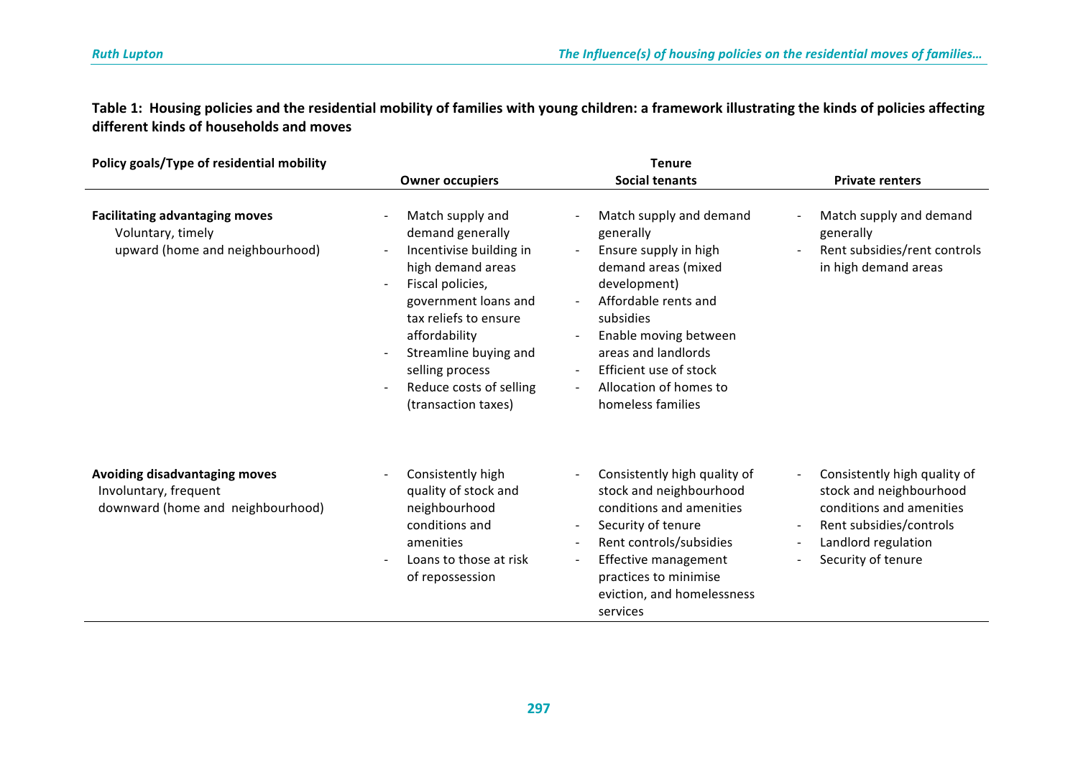Table 1: Housing policies and the residential mobility of families with young children: a framework illustrating the kinds of policies affecting **different kinds of households and moves**

| Policy goals/Type of residential mobility                                                     | <b>Tenure</b>                                                                                                                                                                                                                                                            |                                                                                                                                                                                                                                                                                                           |                                                                                                                                                             |
|-----------------------------------------------------------------------------------------------|--------------------------------------------------------------------------------------------------------------------------------------------------------------------------------------------------------------------------------------------------------------------------|-----------------------------------------------------------------------------------------------------------------------------------------------------------------------------------------------------------------------------------------------------------------------------------------------------------|-------------------------------------------------------------------------------------------------------------------------------------------------------------|
|                                                                                               | <b>Owner occupiers</b>                                                                                                                                                                                                                                                   | <b>Social tenants</b>                                                                                                                                                                                                                                                                                     | <b>Private renters</b>                                                                                                                                      |
| <b>Facilitating advantaging moves</b><br>Voluntary, timely<br>upward (home and neighbourhood) | Match supply and<br>demand generally<br>Incentivise building in<br>high demand areas<br>Fiscal policies,<br>government loans and<br>tax reliefs to ensure<br>affordability<br>Streamline buying and<br>selling process<br>Reduce costs of selling<br>(transaction taxes) | Match supply and demand<br>generally<br>Ensure supply in high<br>$\sim$<br>demand areas (mixed<br>development)<br>Affordable rents and<br>subsidies<br>Enable moving between<br>areas and landlords<br>Efficient use of stock<br>Allocation of homes to<br>homeless families                              | Match supply and demand<br>generally<br>Rent subsidies/rent controls<br>in high demand areas                                                                |
| Avoiding disadvantaging moves<br>Involuntary, frequent<br>downward (home and neighbourhood)   | Consistently high<br>quality of stock and<br>neighbourhood<br>conditions and<br>amenities<br>Loans to those at risk<br>of repossession                                                                                                                                   | Consistently high quality of<br>$\blacksquare$<br>stock and neighbourhood<br>conditions and amenities<br>Security of tenure<br>$\overline{\phantom{a}}$<br>Rent controls/subsidies<br>$\overline{\phantom{a}}$<br>Effective management<br>practices to minimise<br>eviction, and homelessness<br>services | Consistently high quality of<br>stock and neighbourhood<br>conditions and amenities<br>Rent subsidies/controls<br>Landlord regulation<br>Security of tenure |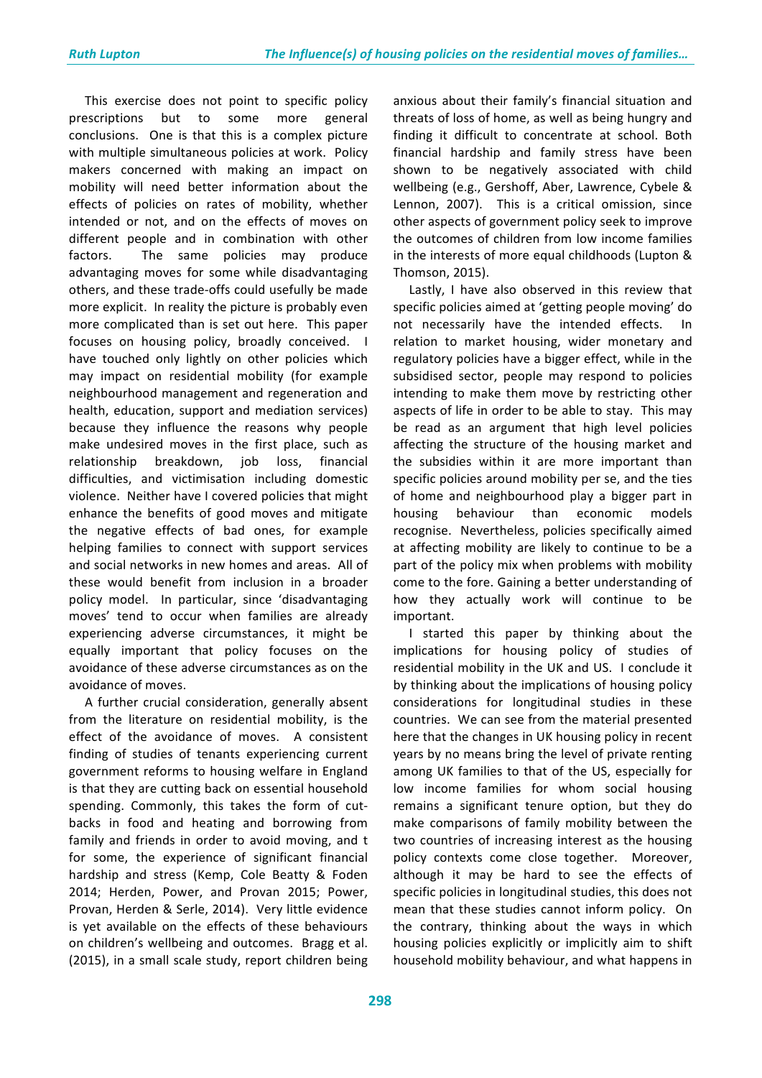This exercise does not point to specific policy prescriptions but to some more general conclusions. One is that this is a complex picture with multiple simultaneous policies at work. Policy makers concerned with making an impact on mobility will need better information about the effects of policies on rates of mobility, whether intended or not, and on the effects of moves on different people and in combination with other factors. The same policies may produce advantaging moves for some while disadvantaging others, and these trade-offs could usefully be made more explicit. In reality the picture is probably even more complicated than is set out here. This paper focuses on housing policy, broadly conceived. I have touched only lightly on other policies which may impact on residential mobility (for example neighbourhood management and regeneration and health, education, support and mediation services) because they influence the reasons why people make undesired moves in the first place, such as relationship breakdown, job loss, financial difficulties, and victimisation including domestic violence. Neither have I covered policies that might enhance the benefits of good moves and mitigate the negative effects of bad ones, for example helping families to connect with support services and social networks in new homes and areas. All of these would benefit from inclusion in a broader policy model. In particular, since 'disadvantaging moves' tend to occur when families are already experiencing adverse circumstances, it might be equally important that policy focuses on the avoidance of these adverse circumstances as on the avoidance of moves.

A further crucial consideration, generally absent from the literature on residential mobility, is the effect of the avoidance of moves. A consistent finding of studies of tenants experiencing current government reforms to housing welfare in England is that they are cutting back on essential household spending. Commonly, this takes the form of cutbacks in food and heating and borrowing from family and friends in order to avoid moving, and t for some, the experience of significant financial hardship and stress (Kemp, Cole Beatty & Foden 2014; Herden, Power, and Provan 2015; Power, Provan, Herden & Serle, 2014). Very little evidence is yet available on the effects of these behaviours on children's wellbeing and outcomes. Bragg et al. (2015), in a small scale study, report children being anxious about their family's financial situation and threats of loss of home, as well as being hungry and finding it difficult to concentrate at school. Both financial hardship and family stress have been shown to be negatively associated with child wellbeing (e.g., Gershoff, Aber, Lawrence, Cybele & Lennon, 2007). This is a critical omission, since other aspects of government policy seek to improve the outcomes of children from low income families in the interests of more equal childhoods (Lupton & Thomson, 2015). 

Lastly, I have also observed in this review that specific policies aimed at 'getting people moving' do not necessarily have the intended effects. In relation to market housing, wider monetary and regulatory policies have a bigger effect, while in the subsidised sector, people may respond to policies intending to make them move by restricting other aspects of life in order to be able to stay. This may be read as an argument that high level policies affecting the structure of the housing market and the subsidies within it are more important than specific policies around mobility per se, and the ties of home and neighbourhood play a bigger part in housing behaviour than economic models recognise. Nevertheless, policies specifically aimed at affecting mobility are likely to continue to be a part of the policy mix when problems with mobility come to the fore. Gaining a better understanding of how they actually work will continue to be important. 

I started this paper by thinking about the implications for housing policy of studies of residential mobility in the UK and US. I conclude it by thinking about the implications of housing policy considerations for longitudinal studies in these countries. We can see from the material presented here that the changes in UK housing policy in recent vears by no means bring the level of private renting among UK families to that of the US, especially for low income families for whom social housing remains a significant tenure option, but they do make comparisons of family mobility between the two countries of increasing interest as the housing policy contexts come close together. Moreover, although it may be hard to see the effects of specific policies in longitudinal studies, this does not mean that these studies cannot inform policy. On the contrary, thinking about the ways in which housing policies explicitly or implicitly aim to shift household mobility behaviour, and what happens in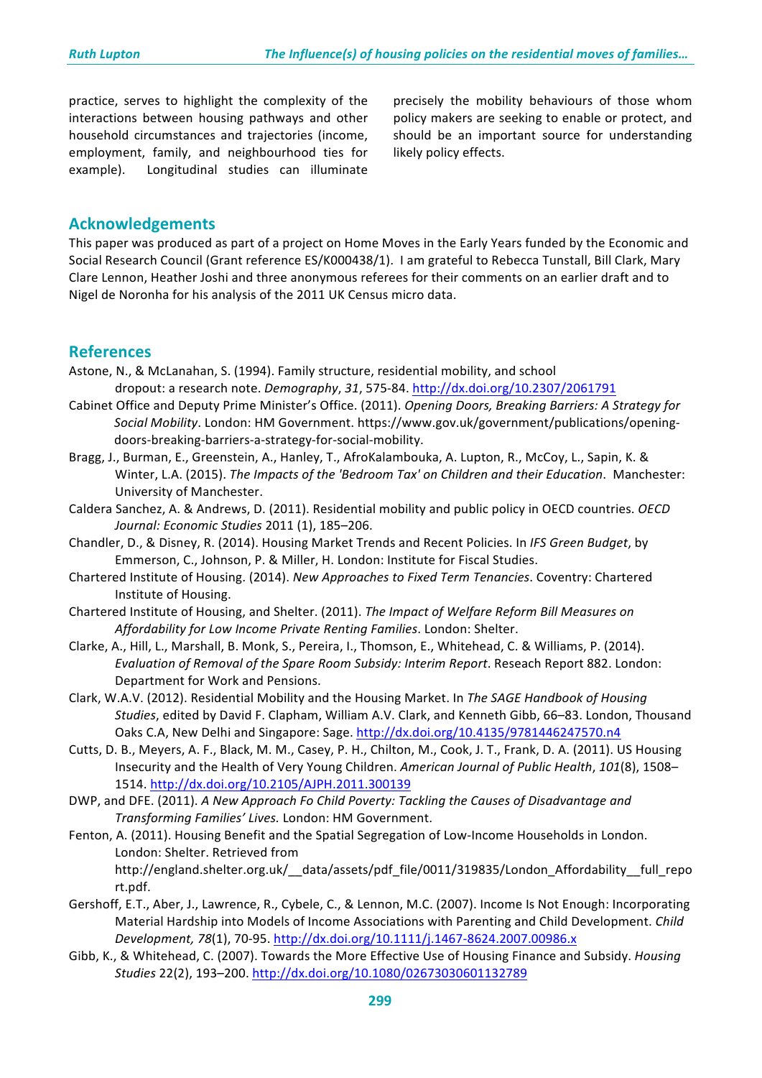practice, serves to highlight the complexity of the interactions between housing pathways and other household circumstances and trajectories (income, employment, family, and neighbourhood ties for example). Longitudinal studies can illuminate

precisely the mobility behaviours of those whom policy makers are seeking to enable or protect, and should be an important source for understanding likely policy effects.

### **Acknowledgements**

This paper was produced as part of a project on Home Moves in the Early Years funded by the Economic and Social Research Council (Grant reference ES/K000438/1). I am grateful to Rebecca Tunstall, Bill Clark, Mary Clare Lennon, Heather Joshi and three anonymous referees for their comments on an earlier draft and to Nigel de Noronha for his analysis of the 2011 UK Census micro data.

#### **References**

- Astone, N., & McLanahan, S. (1994). Family structure, residential mobility, and school dropout: a research note. *Demography*, *31*, 575-84. http://dx.doi.org/10.2307/2061791
- Cabinet Office and Deputy Prime Minister's Office. (2011). *Opening Doors, Breaking Barriers: A Strategy for Social Mobility*. London: HM Government. https://www.gov.uk/government/publications/openingdoors-breaking-barriers-a-strategy-for-social-mobility.
- Bragg, J., Burman, E., Greenstein, A., Hanley, T., AfroKalambouka, A. Lupton, R., McCoy, L., Sapin, K. & Winter, L.A. (2015). *The Impacts of the 'Bedroom Tax' on Children and their Education*. Manchester: University of Manchester.
- Caldera Sanchez, A. & Andrews, D. (2011). Residential mobility and public policy in OECD countries. *OECD Journal: Economic Studies* 2011 (1), 185–206.
- Chandler, D., & Disney, R. (2014). Housing Market Trends and Recent Policies. In *IFS Green Budget*, by Emmerson, C., Johnson, P. & Miller, H. London: Institute for Fiscal Studies.
- Chartered Institute of Housing. (2014). *New Approaches to Fixed Term Tenancies*. Coventry: Chartered Institute of Housing.
- Chartered Institute of Housing, and Shelter. (2011). *The Impact of Welfare Reform Bill Measures on* Affordability for Low Income Private Renting Families. London: Shelter.
- Clarke, A., Hill, L., Marshall, B. Monk, S., Pereira, I., Thomson, E., Whitehead, C. & Williams, P. (2014). *Evaluation of Removal of the Spare Room Subsidy: Interim Report*. Reseach Report 882. London: Department for Work and Pensions.
- Clark, W.A.V. (2012). Residential Mobility and the Housing Market. In The SAGE Handbook of Housing *Studies*, edited by David F. Clapham, William A.V. Clark, and Kenneth Gibb, 66–83. London, Thousand Oaks C.A, New Delhi and Singapore: Sage. http://dx.doi.org/10.4135/9781446247570.n4
- Cutts, D. B., Meyers, A. F., Black, M. M., Casey, P. H., Chilton, M., Cook, J. T., Frank, D. A. (2011). US Housing Insecurity and the Health of Very Young Children. American Journal of Public Health, 101(8), 1508– 1514. http://dx.doi.org/10.2105/AJPH.2011.300139
- DWP, and DFE. (2011). A New Approach Fo Child Poverty: Tackling the Causes of Disadvantage and *Transforming Families' Lives.* London: HM Government.
- Fenton, A. (2011). Housing Benefit and the Spatial Segregation of Low-Income Households in London. London: Shelter. Retrieved from http://england.shelter.org.uk/\_\_data/assets/pdf\_file/0011/319835/London\_Affordability\_\_full\_repo rt.pdf.
- Gershoff, E.T., Aber, J., Lawrence, R., Cybele, C., & Lennon, M.C. (2007). Income Is Not Enough: Incorporating Material Hardship into Models of Income Associations with Parenting and Child Development. *Child Development, 78*(1), 70-95. http://dx.doi.org/10.1111/j.1467-8624.2007.00986.x
- Gibb, K., & Whitehead, C. (2007). Towards the More Effective Use of Housing Finance and Subsidy. *Housing Studies* 22(2), 193–200. http://dx.doi.org/10.1080/02673030601132789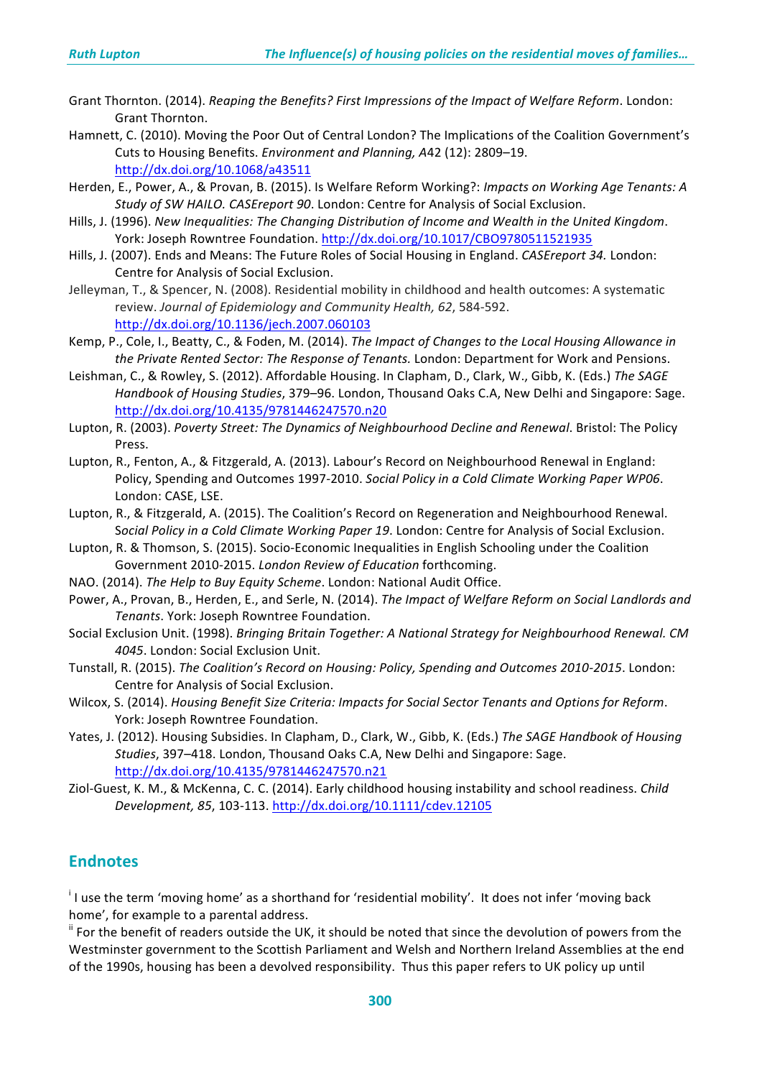- Grant Thornton. (2014). *Reaping the Benefits? First Impressions of the Impact of Welfare Reform*. London: Grant Thornton.
- Hamnett, C. (2010). Moving the Poor Out of Central London? The Implications of the Coalition Government's Cuts to Housing Benefits. *Environment and Planning, A42* (12): 2809–19. http://dx.doi.org/10.1068/a43511
- Herden, E., Power, A., & Provan, B. (2015). Is Welfare Reform Working?: *Impacts on Working Age Tenants: A Study of SW HAILO. CASEreport 90.* London: Centre for Analysis of Social Exclusion.
- Hills, J. (1996). New Inequalities: The Changing Distribution of Income and Wealth in the United Kingdom. York: Joseph Rowntree Foundation. http://dx.doi.org/10.1017/CBO9780511521935
- Hills, J. (2007). Ends and Means: The Future Roles of Social Housing in England. *CASEreport 34.* London: Centre for Analysis of Social Exclusion.
- Jelleyman, T., & Spencer, N. (2008). Residential mobility in childhood and health outcomes: A systematic review. Journal of Epidemiology and Community Health, 62, 584-592. http://dx.doi.org/10.1136/jech.2007.060103
- Kemp, P., Cole, I., Beatty, C., & Foden, M. (2014). *The Impact of Changes to the Local Housing Allowance in* the Private Rented Sector: The Response of Tenants. London: Department for Work and Pensions.
- Leishman, C., & Rowley, S. (2012). Affordable Housing. In Clapham, D., Clark, W., Gibb, K. (Eds.) The SAGE Handbook of Housing Studies, 379–96. London, Thousand Oaks C.A, New Delhi and Singapore: Sage. http://dx.doi.org/10.4135/9781446247570.n20
- Lupton, R. (2003). *Poverty Street: The Dynamics of Neighbourhood Decline and Renewal*. Bristol: The Policy Press.
- Lupton, R., Fenton, A., & Fitzgerald, A. (2013). Labour's Record on Neighbourhood Renewal in England: Policy, Spending and Outcomes 1997-2010. *Social Policy in a Cold Climate Working Paper WP06*. London: CASE, LSE.
- Lupton, R., & Fitzgerald, A. (2015). The Coalition's Record on Regeneration and Neighbourhood Renewal. Social Policy in a Cold Climate Working Paper 19. London: Centre for Analysis of Social Exclusion.
- Lupton, R. & Thomson, S. (2015). Socio-Economic Inequalities in English Schooling under the Coalition Government 2010-2015. London Review of Education forthcoming.
- NAO. (2014). *The Help to Buy Equity Scheme*. London: National Audit Office.
- Power, A., Provan, B., Herden, E., and Serle, N. (2014). *The Impact of Welfare Reform on Social Landlords and Tenants*. York: Joseph Rowntree Foundation.
- Social Exclusion Unit. (1998). *Bringing Britain Together: A National Strategy for Neighbourhood Renewal. CM* **4045.** London: Social Exclusion Unit.
- Tunstall, R. (2015). *The Coalition's Record on Housing: Policy, Spending and Outcomes 2010-2015*. London: Centre for Analysis of Social Exclusion.
- Wilcox, S. (2014). *Housing Benefit Size Criteria: Impacts for Social Sector Tenants and Options for Reform.* York: Joseph Rowntree Foundation.
- Yates, J. (2012). Housing Subsidies. In Clapham, D., Clark, W., Gibb, K. (Eds.) The SAGE Handbook of Housing *Studies*, 397–418. London, Thousand Oaks C.A. New Delhi and Singapore: Sage. http://dx.doi.org/10.4135/9781446247570.n21
- Ziol-Guest, K. M., & McKenna, C. C. (2014). Early childhood housing instability and school readiness. *Child Development, 85*, 103-113. http://dx.doi.org/10.1111/cdev.12105

# **Endnotes**

<sup>i</sup> I use the term 'moving home' as a shorthand for 'residential mobility'. It does not infer 'moving back home', for example to a parental address.

<sup>ii</sup> For the benefit of readers outside the UK, it should be noted that since the devolution of powers from the Westminster government to the Scottish Parliament and Welsh and Northern Ireland Assemblies at the end of the 1990s, housing has been a devolved responsibility. Thus this paper refers to UK policy up until